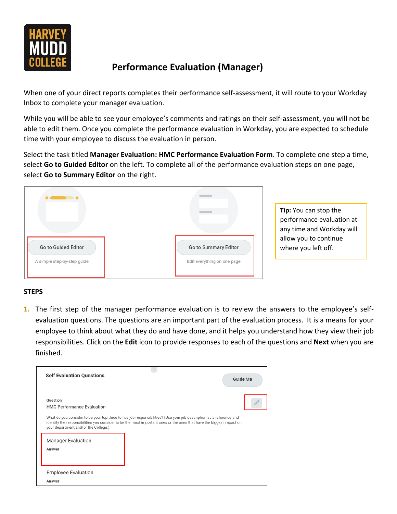

## **Performance Evaluation (Manager)**

When one of your direct reports completes their performance self-assessment, it will route to your Workday Inbox to complete your manager evaluation.

While you will be able to see your employee's comments and ratings on their self-assessment, you will not be able to edit them. Once you complete the performance evaluation in Workday, you are expected to schedule time with your employee to discuss the evaluation in person.

Select the task titled **Manager Evaluation: HMC Performance Evaluation Form**. To complete one step a time, select **Go to Guided Editor** on the left. To complete all of the performance evaluation steps on one page, select **Go to Summary Editor** on the right.



**Tip:** You can stop the performance evaluation at any time and Workday will allow you to continue where you left off.

## **STEPS**

**1.** The first step of the manager performance evaluation is to review the answers to the employee's selfevaluation questions. The questions are an important part of the evaluation process. It is a means for your employee to think about what they do and have done, and it helps you understand how they view their job responsibilities. Click on the **Edit** icon to provide responses to each of the questions and **Next** when you are finished.

| <b>Self Evaluation Questions</b>              | Guide Me                                                                                                                                                                                                                                     |  |
|-----------------------------------------------|----------------------------------------------------------------------------------------------------------------------------------------------------------------------------------------------------------------------------------------------|--|
| Question<br><b>HMC Performance Evaluation</b> |                                                                                                                                                                                                                                              |  |
| your department and/or the College.)          | What do you consider to be your top three to five job responsibilities? (Use your job description as a reference and<br>identify the responsibilities you consider to be the most important ones or the ones that have the biggest impact on |  |
| <b>Manager Evaluation</b><br>Answer           |                                                                                                                                                                                                                                              |  |
| <b>Employee Evaluation</b><br>Answer          |                                                                                                                                                                                                                                              |  |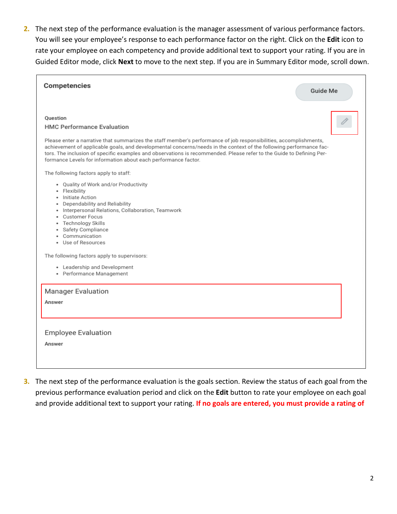**2.** The next step of the performance evaluation is the manager assessment of various performance factors. You will see your employee's response to each performance factor on the right. Click on the **Edit** icon to rate your employee on each competency and provide additional text to support your rating. If you are in Guided Editor mode, click **Next** to move to the next step. If you are in Summary Editor mode, scroll down.

| Competencies<br>Guide Me                                                                                                                                                                                                                                                                                                                                                                                                                                                                                                                                             |
|----------------------------------------------------------------------------------------------------------------------------------------------------------------------------------------------------------------------------------------------------------------------------------------------------------------------------------------------------------------------------------------------------------------------------------------------------------------------------------------------------------------------------------------------------------------------|
| Ouestion<br><b>HMC Performance Evaluation</b><br>Please enter a narrative that summarizes the staff member's performance of job responsibilities, accomplishments,<br>achievement of applicable goals, and developmental concerns/needs in the context of the following performance fac-<br>tors. The inclusion of specific examples and observations is recommended. Please refer to the Guide to Defining Per-<br>formance Levels for information about each performance factor.<br>The following factors apply to staff:<br>. Quality of Work and/or Productivity |
| • Flexibility<br>· Initiate Action<br>• Dependability and Reliability<br>· Interpersonal Relations, Collaboration, Teamwork<br>• Customer Focus<br>· Technology Skills<br>Safety Compliance<br>• Communication<br>· Use of Resources                                                                                                                                                                                                                                                                                                                                 |
| The following factors apply to supervisors:<br>• Leadership and Development<br>• Performance Management                                                                                                                                                                                                                                                                                                                                                                                                                                                              |
| <b>Manager Evaluation</b><br>Answer                                                                                                                                                                                                                                                                                                                                                                                                                                                                                                                                  |
| <b>Employee Evaluation</b><br>Answer                                                                                                                                                                                                                                                                                                                                                                                                                                                                                                                                 |

**3.** The next step of the performance evaluation is the goals section. Review the status of each goal from the previous performance evaluation period and click on the **Edit** button to rate your employee on each goal and provide additional text to support your rating. **If no goals are entered, you must provide a rating of**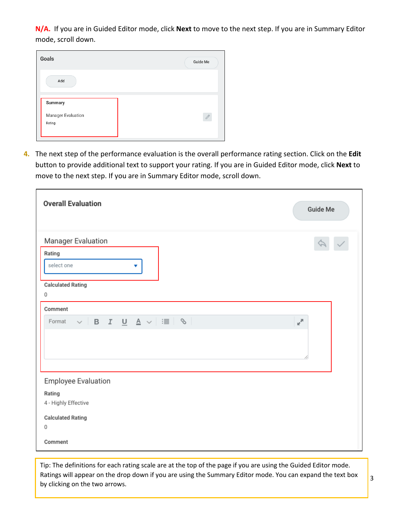**N/A.** If you are in Guided Editor mode, click **Next** to move to the next step. If you are in Summary Editor mode, scroll down.



**4.** The next step of the performance evaluation is the overall performance rating section. Click on the **Edit** button to provide additional text to support your rating. If you are in Guided Editor mode, click **Next** to move to the next step. If you are in Summary Editor mode, scroll down.

| <b>Overall Evaluation</b>                                                                                                                                                                                                                                                        | <b>Guide Me</b> |
|----------------------------------------------------------------------------------------------------------------------------------------------------------------------------------------------------------------------------------------------------------------------------------|-----------------|
| Manager Evaluation<br>Rating<br>select one<br>▼<br><b>Calculated Rating</b><br>0                                                                                                                                                                                                 |                 |
| Comment<br>$\begin{array}{c c c c c c c c c} \hline \circ & \circ & \circ & \bullet & \bullet & \bullet & \bullet & \bullet \end{array} \begin{array}{c c c c c} \hline \circ & \circ & \circ & \bullet & \bullet & \bullet & \bullet & \bullet & \bullet \end{array}$<br>Format | мÄ              |
| <b>Employee Evaluation</b><br>Rating<br>4 - Highly Effective<br><b>Calculated Rating</b><br>0<br>Comment                                                                                                                                                                         |                 |

Tip: The definitions for each rating scale are at the top of the page if you are using the Guided Editor mode. Ratings will appear on the drop down if you are using the Summary Editor mode. You can expand the text box by clicking on the two arrows.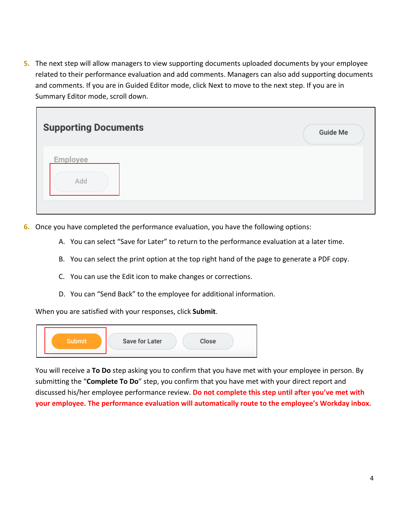**5.** The next step will allow managers to view supporting documents uploaded documents by your employee related to their performance evaluation and add comments. Managers can also add supporting documents and comments. If you are in Guided Editor mode, click Next to move to the next step. If you are in Summary Editor mode, scroll down.

| <b>Supporting Documents</b> | Guide Me |
|-----------------------------|----------|
| Employee<br>Add             |          |

- **6.** Once you have completed the performance evaluation, you have the following options:
	- A. You can select "Save for Later" to return to the performance evaluation at a later time.
	- B. You can select the print option at the top right hand of the page to generate a PDF copy.
	- C. You can use the Edit icon to make changes or corrections.
	- D. You can "Send Back" to the employee for additional information.

When you are satisfied with your responses, click **Submit**.

| <b>Save for Later</b><br>Close |
|--------------------------------|
|                                |

You will receive a **To Do** step asking you to confirm that you have met with your employee in person. By submitting the "**Complete To Do**" step, you confirm that you have met with your direct report and discussed his/her employee performance review. **Do not complete this step until after you've met with your employee. The performance evaluation will automatically route to the employee's Workday inbox.**